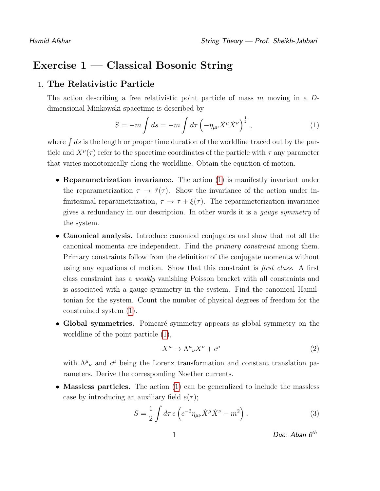## Exercise 1 — Classical Bosonic String

## 1. The Relativistic Particle

The action describing a free relativistic point particle of mass m moving in a Ddimensional Minkowski spacetime is described by

<span id="page-0-0"></span>
$$
S = -m \int ds = -m \int d\tau \left( -\eta_{\mu\nu} \dot{X}^{\mu} \dot{X}^{\nu} \right)^{\frac{1}{2}}, \qquad (1)
$$

where  $\int ds$  is the length or proper time duration of the worldline traced out by the particle and  $X^{\mu}(\tau)$  refer to the spacetime coordinates of the particle with  $\tau$  any parameter that varies monotonically along the worldline. Obtain the equation of motion.

- Reparametrization invariance. The action [\(1\)](#page-0-0) is manifestly invariant under the reparametrization  $\tau \to \tilde{\tau}(\tau)$ . Show the invariance of the action under infinitesimal reparametrization,  $\tau \to \tau + \xi(\tau)$ . The reparameterization invariance gives a redundancy in our description. In other words it is a gauge symmetry of the system.
- Canonical analysis. Introduce canonical conjugates and show that not all the canonical momenta are independent. Find the primary constraint among them. Primary constraints follow from the definition of the conjugate momenta without using any equations of motion. Show that this constraint is *first class*. A first class constraint has a weakly vanishing Poisson bracket with all constraints and is associated with a gauge symmetry in the system. Find the canonical Hamiltonian for the system. Count the number of physical degrees of freedom for the constrained system [\(1\)](#page-0-0).
- Global symmetries. Poincaré symmetry appears as global symmetry on the worldline of the point particle [\(1\)](#page-0-0),

$$
X^{\mu} \to \Lambda^{\mu}{}_{\nu} X^{\nu} + c^{\mu} \tag{2}
$$

with  $\Lambda^{\mu}{}_{\nu}$  and  $c^{\mu}$  being the Lorenz transformation and constant translation parameters. Derive the corresponding Noether currents.

• Massless particles. The action [\(1\)](#page-0-0) can be generalized to include the massless case by introducing an auxiliary field  $e(\tau)$ ;

<span id="page-0-1"></span>
$$
S = \frac{1}{2} \int d\tau \, e \left( e^{-2} \eta_{\mu\nu} \dot{X}^{\mu} \dot{X}^{\nu} - m^2 \right) \,. \tag{3}
$$

$$
1 \t\t\t Due: Aban 6th
$$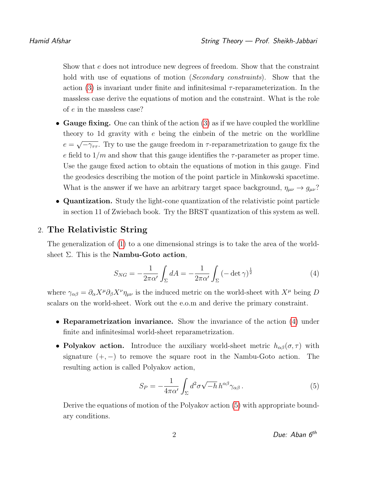Show that e does not introduce new degrees of freedom. Show that the constraint hold with use of equations of motion *(Secondary constraints)*. Show that the action  $(3)$  is invariant under finite and infinitesimal  $\tau$ -reparameterization. In the massless case derive the equations of motion and the constraint. What is the role of e in the massless case?

- Gauge fixing. One can think of the action [\(3\)](#page-0-1) as if we have coupled the worldline theory to 1d gravity with e being the einbein of the metric on the worldline  $e =$ √  $-\gamma_{\tau\tau}$ . Try to use the gauge freedom in  $\tau$ -reparametrization to gauge fix the e field to  $1/m$  and show that this gauge identifies the  $\tau$ -parameter as proper time. Use the gauge fixed action to obtain the equations of motion in this gauge. Find the geodesics describing the motion of the point particle in Minkowski spacetime. What is the answer if we have an arbitrary target space background,  $\eta_{\mu\nu} \to g_{\mu\nu}$ ?
- Quantization. Study the light-cone quantization of the relativistic point particle in section 11 of Zwiebach book. Try the BRST quantization of this system as well.

## 2. The Relativistic String

The generalization of [\(1\)](#page-0-0) to a one dimensional strings is to take the area of the worldsheet  $\Sigma$ . This is the **Nambu-Goto action**,

<span id="page-1-0"></span>
$$
S_{NG} = -\frac{1}{2\pi\alpha'} \int_{\Sigma} dA = -\frac{1}{2\pi\alpha'} \int_{\Sigma} \left(-\det \gamma\right)^{\frac{1}{2}} \tag{4}
$$

where  $\gamma_{\alpha\beta} = \partial_\alpha X^\mu \partial_\beta X^\nu \eta_{\mu\nu}$  is the induced metric on the world-sheet with  $X^\mu$  being D scalars on the world-sheet. Work out the e.o.m and derive the primary constraint.

- Reparametrization invariance. Show the invariance of the action [\(4\)](#page-1-0) under finite and infinitesimal world-sheet reparametrization.
- Polyakov action. Introduce the auxiliary world-sheet metric  $h_{\alpha\beta}(\sigma,\tau)$  with signature  $(+,-)$  to remove the square root in the Nambu-Goto action. The resulting action is called Polyakov action,

<span id="page-1-1"></span>
$$
S_P = -\frac{1}{4\pi\alpha'} \int_{\Sigma} d^2\sigma \sqrt{-h} \, h^{\alpha\beta} \gamma_{\alpha\beta} \,. \tag{5}
$$

Derive the equations of motion of the Polyakov action [\(5\)](#page-1-1) with appropriate boundary conditions.

$$
2 \t\t\t\t Due: Aban 6th
$$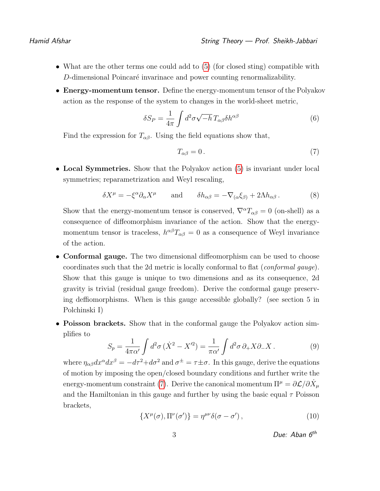- What are the other terms one could add to [\(5\)](#page-1-1) (for closed sting) compatible with D-dimensional Poincaré invarinace and power counting renormalizability.
- Energy-momentum tensor. Define the energy-momentum tensor of the Polyakov action as the response of the system to changes in the world-sheet metric,

$$
\delta S_P = \frac{1}{4\pi} \int d^2 \sigma \sqrt{-h} \, T_{\alpha\beta} \delta h^{\alpha\beta} \tag{6}
$$

Find the expression for  $T_{\alpha\beta}$ . Using the field equations show that,

<span id="page-2-0"></span>
$$
T_{\alpha\beta} = 0. \tag{7}
$$

• Local Symmetries. Show that the Polyakov action [\(5\)](#page-1-1) is invariant under local symmetries; reparametrization and Weyl rescaling,

$$
\delta X^{\mu} = -\xi^{\alpha} \partial_{\alpha} X^{\mu} \quad \text{and} \quad \delta h_{\alpha\beta} = -\nabla_{(\alpha} \xi_{\beta)} + 2\Lambda h_{\alpha\beta} \,. \tag{8}
$$

Show that the energy-momentum tensor is conserved,  $\nabla^{\alpha}T_{\alpha\beta} = 0$  (on-shell) as a consequence of diffeomorphism invariance of the action. Show that the energymomentum tensor is traceless,  $h^{\alpha\beta}T_{\alpha\beta} = 0$  as a consequence of Weyl invariance of the action.

- **Conformal gauge.** The two dimensional diffeomorphism can be used to choose coordinates such that the 2d metric is locally conformal to flat (*conformal gauge*). Show that this gauge is unique to two dimensions and as its consequence, 2d gravity is trivial (residual gauge freedom). Derive the conformal gauge preserving deffiomorphisms. When is this gauge accessible globally? (see section 5 in Polchinski I)
- Poisson brackets. Show that in the conformal gauge the Polyakov action simplifies to

$$
S_p = \frac{1}{4\pi\alpha'} \int d^2\sigma \left(\dot{X}^2 - X'^2\right) = \frac{1}{\pi\alpha'} \int d^2\sigma \,\partial_+ X \partial_- X \,. \tag{9}
$$

where  $\eta_{\alpha\beta}dx^{\alpha}dx^{\beta} = -d\tau^2 + d\sigma^2$  and  $\sigma^{\pm} = \tau \pm \sigma$ . In this gauge, derive the equations of motion by imposing the open/closed boundary conditions and further write the energy-momentum constraint [\(7\)](#page-2-0). Derive the canonical momentum  $\Pi^{\mu} = \partial \mathcal{L}/\partial \dot{X}_{\mu}$ and the Hamiltonian in this gauge and further by using the basic equal  $\tau$  Poisson brackets,

<span id="page-2-1"></span>
$$
\{X^{\mu}(\sigma), \Pi^{\nu}(\sigma')\} = \eta^{\mu\nu}\delta(\sigma - \sigma'),\tag{10}
$$

$$
3 \t\t\t Due: Aban 6th
$$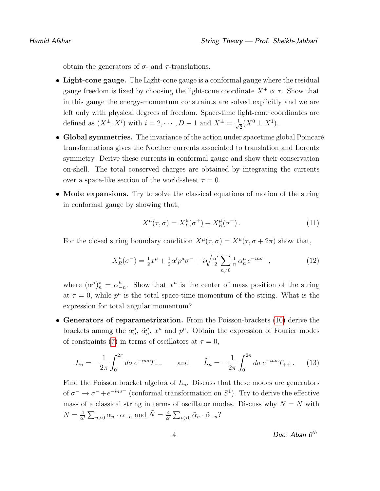obtain the generators of  $\sigma$ - and  $\tau$ -translations.

- Light-cone gauge. The Light-cone gauge is a conformal gauge where the residual gauge freedom is fixed by choosing the light-cone coordinate  $X^+ \propto \tau$ . Show that in this gauge the energy-momentum constraints are solved explicitly and we are left only with physical degrees of freedom. Space-time light-cone coordinates are defined as  $(X^{\pm}, X^i)$  with  $i = 2, \dots, D - 1$  and  $X^{\pm} = \frac{1}{\sqrt{2}}$  $\frac{1}{2}(X^0 \pm X^1).$
- Global symmetries. The invariance of the action under spacetime global Poincaré transformations gives the Noether currents associated to translation and Lorentz symmetry. Derive these currents in conformal gauge and show their conservation on-shell. The total conserved charges are obtained by integrating the currents over a space-like section of the world-sheet  $\tau = 0$ .
- Mode expansions. Try to solve the classical equations of motion of the string in conformal gauge by showing that,

$$
X^{\mu}(\tau,\sigma) = X^{\mu}_{L}(\sigma^{+}) + X^{\mu}_{R}(\sigma^{-})\,. \tag{11}
$$

For the closed string boundary condition  $X^{\mu}(\tau,\sigma) = X^{\mu}(\tau,\sigma+2\pi)$  show that,

$$
X_R^{\mu}(\sigma^-) = \frac{1}{2}x^{\mu} + \frac{1}{2}\alpha'p^{\mu}\sigma^- + i\sqrt{\frac{\alpha'}{2}}\sum_{n\neq 0} \frac{1}{n}\alpha_n^{\mu}e^{-in\sigma^-},\tag{12}
$$

where  $(\alpha^{\mu})_n^{\star} = \alpha^{\mu}$  $\frac{\mu}{n}$ . Show that  $x^{\mu}$  is the center of mass position of the string at  $\tau = 0$ , while  $p^{\mu}$  is the total space-time momentum of the string. What is the expression for total angular momentum?

• Generators of reparametrization. From the Poisson-brackets [\(10\)](#page-2-1) derive the brackets among the  $\alpha_n^{\mu}$ ,  $\tilde{\alpha}_n^{\mu}$ ,  $x^{\mu}$  and  $p^{\mu}$ . Obtain the expression of Fourier modes of constraints [\(7\)](#page-2-0) in terms of oscillators at  $\tau = 0$ ,

$$
L_n = -\frac{1}{2\pi} \int_0^{2\pi} d\sigma \, e^{-in\sigma} T_{--} \qquad \text{and} \qquad \tilde{L}_n = -\frac{1}{2\pi} \int_0^{2\pi} d\sigma \, e^{-in\sigma} T_{++} \,. \tag{13}
$$

Find the Poisson bracket algebra of  $L_n$ . Discuss that these modes are generators of  $\sigma^- \to \sigma^- + e^{-in\sigma^-}$  (conformal transformation on  $S^1$ ). Try to derive the effective mass of a classical string in terms of oscillator modes. Discuss why  $N = \tilde{N}$  with  $N=\frac{4}{\alpha}$  $\frac{4}{\alpha'}\sum_{n>0} \alpha_n \cdot \alpha_{-n}$  and  $\tilde{N} = \frac{4}{\alpha'}$  $\frac{4}{\alpha'}\sum_{n>0}\tilde{\alpha}_n\cdot\tilde{\alpha}_{-n}$ ?

4 Due: Aban 6th